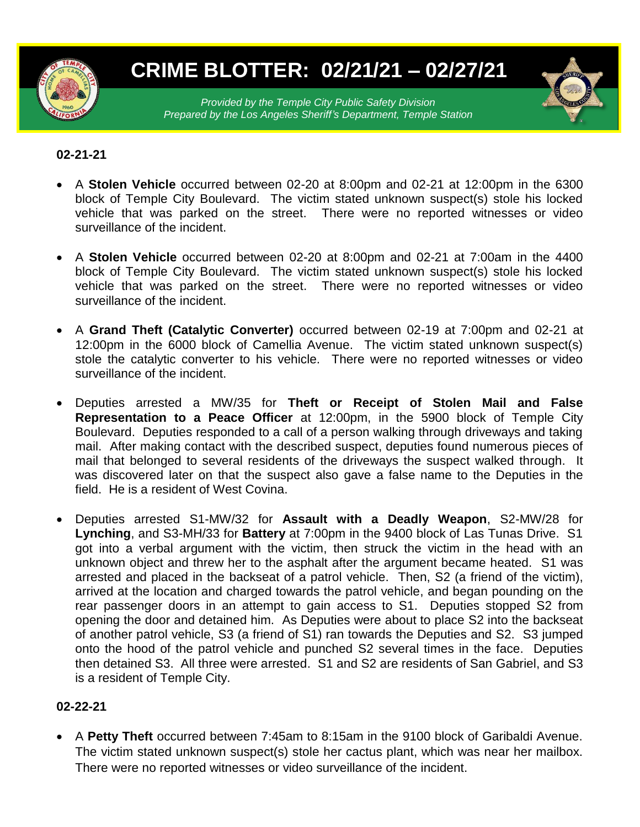

# **CRIME BLOTTER: 02/21/21 – 02/27/21**

*Provided by the Temple City Public Safety Division Prepared by the Los Angeles Sheriff's Department, Temple Station*

## **02-21-21**

- A **Stolen Vehicle** occurred between 02-20 at 8:00pm and 02-21 at 12:00pm in the 6300 block of Temple City Boulevard. The victim stated unknown suspect(s) stole his locked vehicle that was parked on the street. There were no reported witnesses or video surveillance of the incident.
- A **Stolen Vehicle** occurred between 02-20 at 8:00pm and 02-21 at 7:00am in the 4400 block of Temple City Boulevard. The victim stated unknown suspect(s) stole his locked vehicle that was parked on the street. There were no reported witnesses or video surveillance of the incident.
- A **Grand Theft (Catalytic Converter)** occurred between 02-19 at 7:00pm and 02-21 at 12:00pm in the 6000 block of Camellia Avenue. The victim stated unknown suspect(s) stole the catalytic converter to his vehicle. There were no reported witnesses or video surveillance of the incident.
- Deputies arrested a MW/35 for **Theft or Receipt of Stolen Mail and False Representation to a Peace Officer** at 12:00pm, in the 5900 block of Temple City Boulevard. Deputies responded to a call of a person walking through driveways and taking mail. After making contact with the described suspect, deputies found numerous pieces of mail that belonged to several residents of the driveways the suspect walked through. It was discovered later on that the suspect also gave a false name to the Deputies in the field. He is a resident of West Covina.
- Deputies arrested S1-MW/32 for **Assault with a Deadly Weapon**, S2-MW/28 for **Lynching**, and S3-MH/33 for **Battery** at 7:00pm in the 9400 block of Las Tunas Drive. S1 got into a verbal argument with the victim, then struck the victim in the head with an unknown object and threw her to the asphalt after the argument became heated. S1 was arrested and placed in the backseat of a patrol vehicle. Then, S2 (a friend of the victim), arrived at the location and charged towards the patrol vehicle, and began pounding on the rear passenger doors in an attempt to gain access to S1. Deputies stopped S2 from opening the door and detained him. As Deputies were about to place S2 into the backseat of another patrol vehicle, S3 (a friend of S1) ran towards the Deputies and S2. S3 jumped onto the hood of the patrol vehicle and punched S2 several times in the face. Deputies then detained S3. All three were arrested. S1 and S2 are residents of San Gabriel, and S3 is a resident of Temple City.

## **02-22-21**

 A **Petty Theft** occurred between 7:45am to 8:15am in the 9100 block of Garibaldi Avenue. The victim stated unknown suspect(s) stole her cactus plant, which was near her mailbox. There were no reported witnesses or video surveillance of the incident.